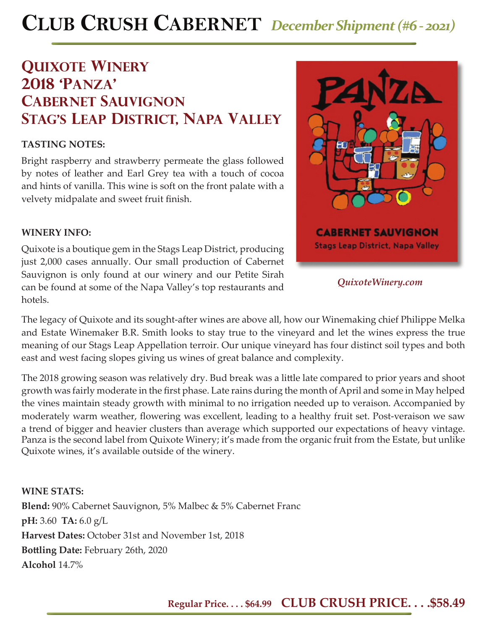# **CLUB CRUSH CABERNET** *December Shipment (#6 - 2021)*

# **quixote winery 2018 'panza' cabernet sauvignon Stag's leap district, napa valley**

## **TASTING NOTES:**

Bright raspberry and strawberry permeate the glass followed by notes of leather and Earl Grey tea with a touch of cocoa and hints of vanilla. This wine is soft on the front palate with a velvety midpalate and sweet fruit finish.

#### **WINERY INFO:**

Quixote is a boutique gem in the Stags Leap District, producing just 2,000 cases annually. Our small production of Cabernet Sauvignon is only found at our winery and our Petite Sirah can be found at some of the Napa Valley's top restaurants and hotels.



*QuixoteWinery.com*

The legacy of Quixote and its sought-after wines are above all, how our Winemaking chief Philippe Melka and Estate Winemaker B.R. Smith looks to stay true to the vineyard and let the wines express the true meaning of our Stags Leap Appellation terroir. Our unique vineyard has four distinct soil types and both east and west facing slopes giving us wines of great balance and complexity.

The 2018 growing season was relatively dry. Bud break was a little late compared to prior years and shoot growth was fairly moderate in the first phase. Late rains during the month of April and some in May helped the vines maintain steady growth with minimal to no irrigation needed up to veraison. Accompanied by moderately warm weather, flowering was excellent, leading to a healthy fruit set. Post-veraison we saw a trend of bigger and heavier clusters than average which supported our expectations of heavy vintage. Panza is the second label from Quixote Winery; it's made from the organic fruit from the Estate, but unlike Quixote wines, it's available outside of the winery.

**WINE STATS: Blend:** 90% Cabernet Sauvignon, 5% Malbec & 5% Cabernet Franc **pH:** 3.60 **TA:** 6.0 g/L **Harvest Dates:** October 31st and November 1st, 2018 **Bott ling Date:** February 26th, 2020 **Alcohol** 14.7%